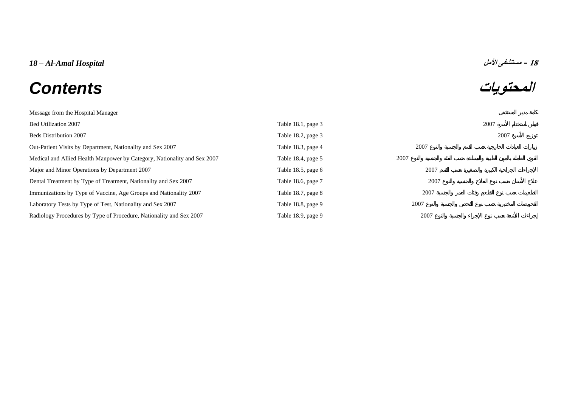# *18 – Al-Amal Hospital* **الأمل مستشفى – <sup>18</sup> المحتويات** *Contents*

| Message from the Hospital Manager                                        |                       |      |      |
|--------------------------------------------------------------------------|-----------------------|------|------|
| Bed Utilization 2007                                                     | Table $18.1$ , page 3 |      | 2007 |
| <b>Beds Distribution 2007</b>                                            | Table 18.2, page 3    |      | 2007 |
| Out-Patient Visits by Department, Nationality and Sex 2007               | Table 18.3, page 4    | 2007 |      |
| Medical and Allied Health Manpower by Category, Nationality and Sex 2007 | Table 18.4, page 5    | 2007 |      |
| Major and Minor Operations by Department 2007                            | Table 18.5, page $6$  | 2007 |      |
| Dental Treatment by Type of Treatment, Nationality and Sex 2007          | Table 18.6, page 7    | 2007 |      |
| Immunizations by Type of Vaccine, Age Groups and Nationality 2007        | Table 18.7, page $8$  | 2007 |      |
| Laboratory Tests by Type of Test, Nationality and Sex 2007               | Table 18.8, page 9    | 2007 |      |
| Radiology Procedures by Type of Procedure, Nationality and Sex 2007      | Table 18.9, page 9    | 2007 |      |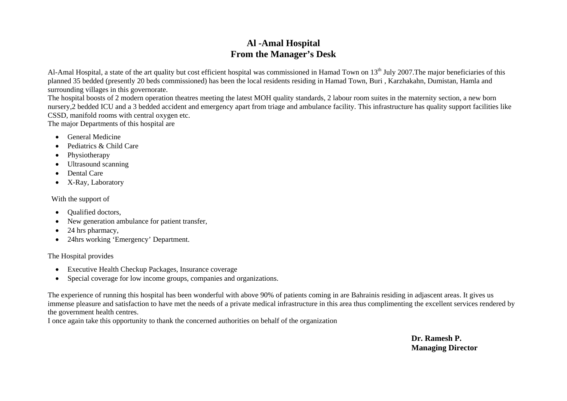# **Al -Amal Hospital From the Manager's Desk**

<span id="page-1-0"></span>Al-Amal Hospital, a state of the art quality but cost efficient hospital was commissioned in Hamad Town on 13<sup>th</sup> July 2007. The major beneficiaries of this planned 35 bedded (presently 20 beds commissioned) has been the local residents residing in Hamad Town, Buri , Karzhakahn, Dumistan, Hamla and surrounding villages in this governorate.

The hospital boosts of 2 modern operation theatres meeting the latest MOH quality standards, 2 labour room suites in the maternity section, a new born nursery,2 bedded ICU and a 3 bedded accident and emergency apart from triage and ambulance facility. This infrastructure has quality support facilities like CSSD, manifold rooms with central oxygen etc.

The major Departments of this hospital are

- General Medicine
- Pediatrics & Child Care
- Physiotherapy
- Ultrasound scanning
- Dental Care
- X-Ray, Laboratory

With the support of

- •Qualified doctors,
- •New generation ambulance for patient transfer,
- •24 hrs pharmacy,
- $\bullet$ 24hrs working 'Emergency' Department.

# The Hospital provides

- Executive Health Checkup Packages, Insurance coverage
- •Special coverage for low income groups, companies and organizations.

The experience of running this hospital has been wonderful with above 90% of patients coming in are Bahrainis residing in adjascent areas. It gives us immense pleasure and satisfaction to have met the needs of a private medical infrastructure in this area thus complimenting the excellent services rendered by the government health centres.

I once again take this opportunity to thank the concerned authorities on behalf of the organization

**Dr. Ramesh P. Managing Director**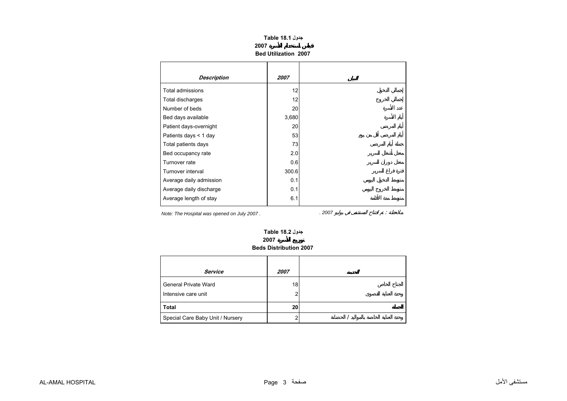| جدول Table 18.1             |  |
|-----------------------------|--|
| 2007                        |  |
| <b>Bed Utilization 2007</b> |  |

<span id="page-2-0"></span>

| <b>Description</b>      | 2007  |
|-------------------------|-------|
| <b>Total admissions</b> | 12    |
| Total discharges        | 12    |
| Number of beds          | 20    |
| Bed days available      | 3,680 |
| Patient days-overnight  | 20    |
| Patients days $<$ 1 day | 53    |
| Total patients days     | 73    |
| Bed occupancy rate      | 2.0   |
| Turnover rate           | 0.6   |
| Turnover interval       | 300.6 |
| Average daily admission | 0.1   |
| Average daily discharge | 0.1   |
| Average length of stay  | 6.1   |

*Note: The Hospital was opened on July 2007 . . 2007* :

#### **2007 Beds Distribution 2007 جدول 18.2 Table**

| Service                          | 2007 |  |
|----------------------------------|------|--|
| General Private Ward             | 18   |  |
| Intensive care unit              | 2    |  |
| <b>Total</b>                     | 20   |  |
| Special Care Baby Unit / Nursery | ົ    |  |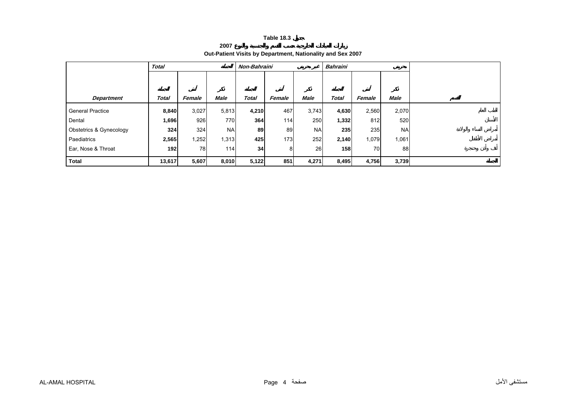**2007**

# **Out-Patient Visits by Department, Nationality and Sex 2007**

<span id="page-3-0"></span>

|                         | <b>Total</b> |        |             | Non-Bahraini |        |           | <b>Bahraini</b> |        |           |  |
|-------------------------|--------------|--------|-------------|--------------|--------|-----------|-----------------|--------|-----------|--|
|                         |              |        |             |              |        |           |                 |        |           |  |
|                         |              |        |             |              |        |           |                 |        |           |  |
| <b>Department</b>       | Total        | Female | <b>Male</b> | <b>Total</b> | Female | Male      | Total           | Female | Male      |  |
| <b>General Practice</b> | 8,840        | 3,027  | 5,813       | 4,210        | 467    | 3,743     | 4,630           | 2,560  | 2,070     |  |
| Dental                  | 1,696        | 926    | 770         | 364          | 114    | 250       | 1,332           | 812    | 520       |  |
| Obstetrics & Gynecology | 324          | 324    | <b>NA</b>   | 89           | 89     | <b>NA</b> | 235             | 235    | <b>NA</b> |  |
| Paediatrics             | 2,565        | ,252   | 1,313       | 425          | 173    | 252       | 2,140           | 1,079  | 1,061     |  |
| Ear, Nose & Throat      | 192          | 78     | 114         | 34           | 8      | 26        | 158             | 70     | 88        |  |
| <b>Total</b>            | 13,617       | 5,607  | 8,010       | 5,122        | 851    | 4,271     | 8,495           | 4,756  | 3,739     |  |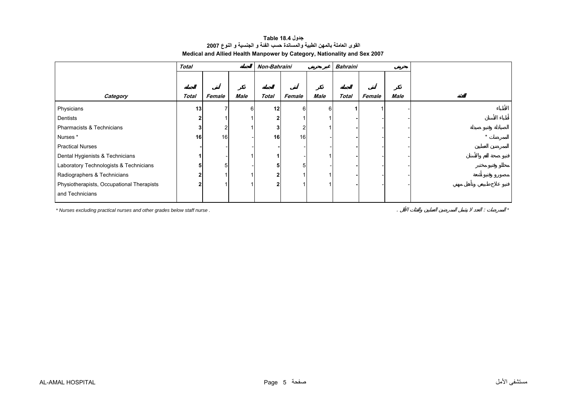#### **جدول 18.4 Table القوى العاملة بالمهن الطبية والمساندة حسب الفئة <sup>و</sup> الجنسية <sup>و</sup> النوع <sup>2007</sup> Medical and Allied Health Manpower by Category, Nationality and Sex 2007**

<span id="page-4-0"></span>

|                                           | Non-Bahraini    |                |      | <b>Bahraini</b> |        |      |              |        |      |  |
|-------------------------------------------|-----------------|----------------|------|-----------------|--------|------|--------------|--------|------|--|
|                                           |                 |                |      |                 |        |      |              |        |      |  |
|                                           |                 |                |      |                 |        |      |              |        |      |  |
| Category                                  | Total           | Female         | Male | <b>Total</b>    | Female | Male | <b>Total</b> | Female | Male |  |
| Physicians                                | 13 <sub>l</sub> |                |      | 12              | 6      | 6    |              |        |      |  |
| Dentists                                  |                 |                |      | $\mathbf{2}$    |        |      |              |        |      |  |
| Pharmacists & Technicians                 |                 | $\overline{2}$ |      | 3               |        |      |              |        |      |  |
| Nurses*                                   | 16              | 16             |      | 16              | 16     |      |              |        |      |  |
| <b>Practical Nurses</b>                   |                 |                |      |                 |        |      |              |        |      |  |
| Dental Hygienists & Technicians           |                 |                |      |                 |        |      |              |        |      |  |
| Laboratory Technologists & Technicians    |                 | 5              |      |                 |        |      |              |        |      |  |
| Radiographers & Technicians               |                 |                |      | $\mathbf{2}$    |        |      |              |        |      |  |
| Physiotherapists, Occupational Therapists |                 |                |      | $\mathbf{2}$    |        |      |              |        |      |  |
| and Technicians                           |                 |                |      |                 |        |      |              |        |      |  |

*\* Nurses excluding practical nurses and other grades below staff nurse .* . : *\**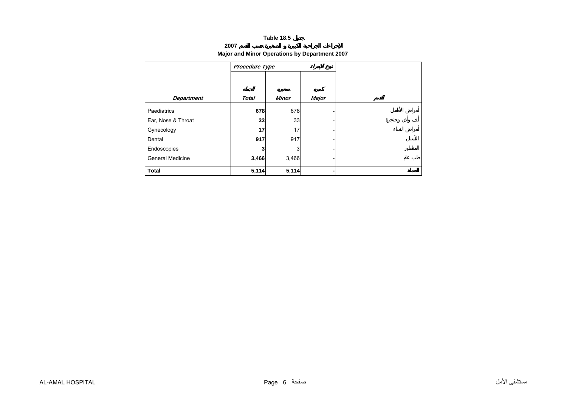#### **2007**

## **Major and Minor Operations by Department 2007**

<span id="page-5-0"></span>

|                         | Procedure Type |              |              |  |
|-------------------------|----------------|--------------|--------------|--|
|                         |                |              |              |  |
| <b>Department</b>       | <b>Total</b>   | <b>Minor</b> | <b>Major</b> |  |
| Paediatrics             | 678            | 678          |              |  |
| Ear, Nose & Throat      | 33             | 33           |              |  |
| Gynecology              | 17             | 17           |              |  |
| Dental                  | 917            | 917          |              |  |
| Endoscopies             | 3              | 3            |              |  |
| <b>General Medicine</b> | 3,466          | 3,466        |              |  |
| <b>Total</b>            | 5,114          | 5,114        |              |  |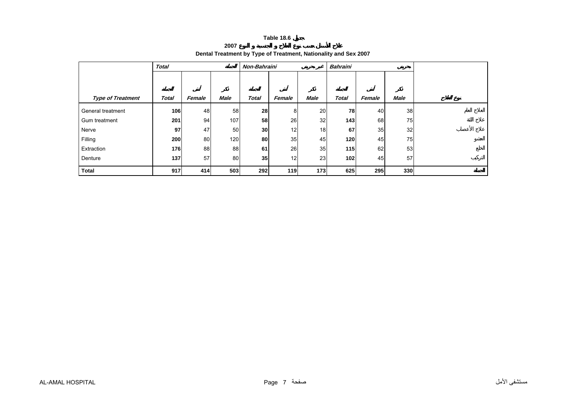**2007**

# **Dental Treatment by Type of Treatment, Nationality and Sex 2007**

<span id="page-6-0"></span>

|                          | <b>Total</b> |        |             | Non-Bahraini    |        |             | <b>Bahraini</b> |        |             |  |
|--------------------------|--------------|--------|-------------|-----------------|--------|-------------|-----------------|--------|-------------|--|
|                          |              |        |             |                 |        |             |                 |        |             |  |
| <b>Type of Treatment</b> | <b>Total</b> | Female | <b>Male</b> | <b>Total</b>    | Female | <b>Male</b> | <b>Total</b>    | Female | <b>Male</b> |  |
|                          |              |        |             |                 |        |             |                 |        |             |  |
| General treatment        | 106          | 48     | 58          | 28              | 8      | 20          | 78              | 40     | 38          |  |
| Gum treatment            | 201          | 94     | 107         | 58              | 26     | 32          | 143             | 68     | 75          |  |
| Nerve                    | 97           | 47     | 50          | 30 <sub>l</sub> | 12     | 18          | 67              | 35     | 32          |  |
| Filling                  | 200          | 80     | 120         | 80              | 35     | 45          | 120             | 45     | 75          |  |
| Extraction               | 176          | 88     | 88          | 61              | 26     | 35          | 115             | 62     | 53          |  |
| Denture                  | 137          | 57     | 80          | 35 <sup>1</sup> | 12     | 23          | 102             | 45     | 57          |  |
| <b>Total</b>             | 917          | 414    | 503         | 292             | 119    | 173         | 625             | 295    | 330         |  |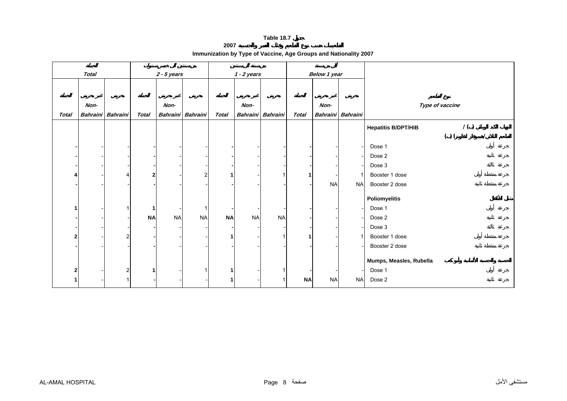**2007**

<span id="page-7-0"></span>

|              | <b>Total</b> |                   |              | $2 - 5$ years   |                 |              | $1 - 2$ years |                   | Below 1 year |           |                   |                                            |
|--------------|--------------|-------------------|--------------|-----------------|-----------------|--------------|---------------|-------------------|--------------|-----------|-------------------|--------------------------------------------|
|              |              |                   |              |                 |                 |              |               |                   |              |           |                   |                                            |
|              | Non-         |                   |              | Non-            |                 |              | Non-          |                   |              | Non-      |                   | Type of vaccine                            |
| <b>Total</b> |              | Bahraini Bahraini | <b>Total</b> | <b>Bahraini</b> | <b>Bahraini</b> | <b>Total</b> |               | Bahraini Bahraini | <b>Total</b> |           | Bahraini Bahraini |                                            |
|              |              |                   |              |                 |                 |              |               |                   |              |           |                   | $\prime$ ( )<br><b>Hepatitis B/DPT/HIB</b> |
|              |              |                   |              |                 |                 |              |               |                   |              |           |                   | ( )                                        |
|              |              |                   |              |                 |                 |              |               |                   |              |           |                   | Dose 1                                     |
|              |              |                   |              |                 |                 |              |               |                   |              |           |                   | Dose 2                                     |
|              |              |                   |              |                 |                 |              |               |                   |              |           |                   | Dose 3                                     |
|              |              | 4                 | $\mathbf{2}$ |                 | $\overline{a}$  |              |               |                   |              |           |                   | Booster 1 dose                             |
|              |              |                   |              |                 |                 |              |               |                   |              | <b>NA</b> | <b>NA</b>         | Booster 2 dose                             |
|              |              |                   |              |                 |                 |              |               |                   |              |           |                   | Poliomyelitis                              |
|              |              |                   | $\mathbf 1$  |                 | 1               |              |               |                   |              |           |                   | Dose 1                                     |
|              |              |                   | <b>NA</b>    | <b>NA</b>       | <b>NA</b>       | <b>NA</b>    | <b>NA</b>     | <b>NA</b>         |              |           |                   | Dose 2                                     |
|              |              |                   |              |                 |                 |              |               |                   |              |           |                   | Dose 3                                     |
| $\mathbf 2$  |              | 2                 |              |                 |                 |              |               | 1                 |              |           |                   | Booster 1 dose                             |
|              |              |                   |              |                 |                 |              |               |                   |              |           |                   | Booster 2 dose                             |
|              |              |                   |              |                 |                 |              |               |                   |              |           |                   |                                            |
|              |              |                   |              |                 |                 |              |               |                   |              |           |                   | Mumps, Measles, Rubella                    |
| 2            |              | $\overline{c}$    | $\mathbf 1$  |                 | 1               |              |               | 1                 |              |           |                   | Dose 1                                     |
| 1            |              |                   |              |                 |                 |              |               |                   | <b>NA</b>    | <b>NA</b> | <b>NA</b>         | Dose 2                                     |